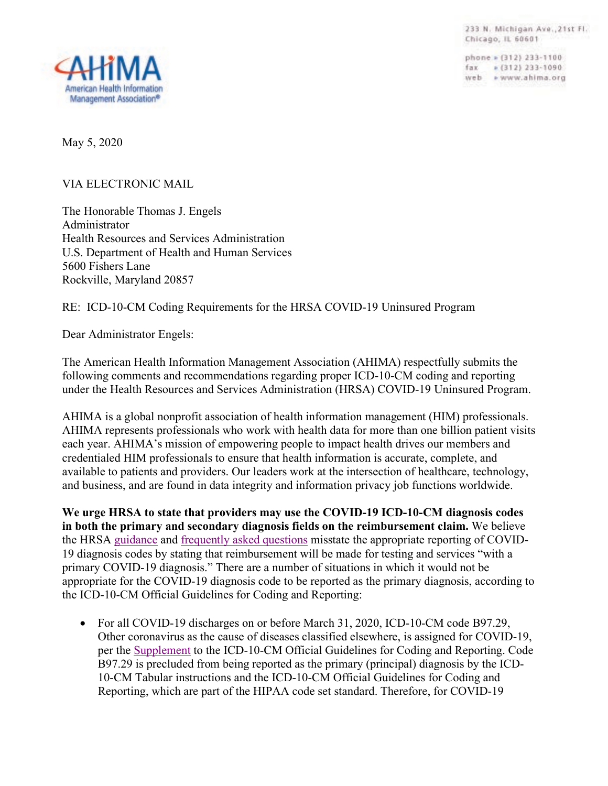233 N. Michigan Ave., 21st Fl. Chicago, IL 60601

phone » (312) 233-1100 fax = (312) 233-1090 web » www.ahima.org



May 5, 2020

VIA ELECTRONIC MAIL

The Honorable Thomas J. Engels Administrator Health Resources and Services Administration U.S. Department of Health and Human Services 5600 Fishers Lane Rockville, Maryland 20857

RE: ICD-10-CM Coding Requirements for the HRSA COVID-19 Uninsured Program

Dear Administrator Engels:

The American Health Information Management Association (AHIMA) respectfully submits the following comments and recommendations regarding proper ICD-10-CM coding and reporting under the Health Resources and Services Administration (HRSA) COVID-19 Uninsured Program.

AHIMA is a global nonprofit association of health information management (HIM) professionals. AHIMA represents professionals who work with health data for more than one billion patient visits each year. AHIMA's mission of empowering people to impact health drives our members and credentialed HIM professionals to ensure that health information is accurate, complete, and available to patients and providers. Our leaders work at the intersection of healthcare, technology, and business, and are found in data integrity and information privacy job functions worldwide.

**We urge HRSA to state that providers may use the COVID-19 ICD-10-CM diagnosis codes in both the primary and secondary diagnosis fields on the reimbursement claim.** We believe the HRSA [guidance](https://coviduninsuredclaim.linkhealth.com/coverage-details.html) and [frequently asked questions](https://www.hrsa.gov/coviduninsuredclaim/frequently-asked-questions) misstate the appropriate reporting of COVID-19 diagnosis codes by stating that reimbursement will be made for testing and services "with a primary COVID-19 diagnosis." There are a number of situations in which it would not be appropriate for the COVID-19 diagnosis code to be reported as the primary diagnosis, according to the ICD-10-CM Official Guidelines for Coding and Reporting:

• For all COVID-19 discharges on or before March 31, 2020, ICD-10-CM code B97.29, Other coronavirus as the cause of diseases classified elsewhere, is assigned for COVID-19, per the [Supplement](https://www.cdc.gov/nchs/data/icd/interim-coding-advice-coronavirus-March-2020-final.pdf) to the ICD-10-CM Official Guidelines for Coding and Reporting. Code B97.29 is precluded from being reported as the primary (principal) diagnosis by the ICD-10-CM Tabular instructions and the ICD-10-CM Official Guidelines for Coding and Reporting, which are part of the HIPAA code set standard. Therefore, for COVID-19